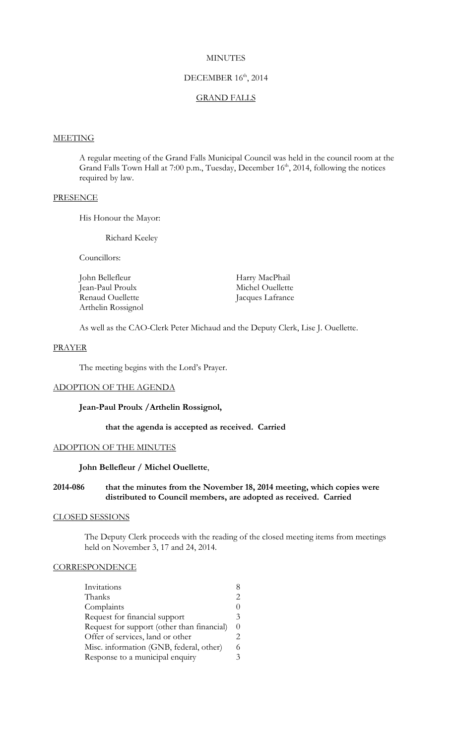## **MINUTES**

# DECEMBER 16<sup>th</sup>, 2014

### GRAND FALLS

# **MEETING**

A regular meeting of the Grand Falls Municipal Council was held in the council room at the Grand Falls Town Hall at 7:00 p.m., Tuesday, December 16<sup>th</sup>, 2014, following the notices required by law.

## **PRESENCE**

His Honour the Mayor:

Richard Keeley

Councillors:

| John Bellefleur    | Harry MacPhail   |
|--------------------|------------------|
| Jean-Paul Proulx   | Michel Ouellette |
| Renaud Ouellette   | Jacques Lafrance |
| Arthelin Rossignol |                  |

As well as the CAO-Clerk Peter Michaud and the Deputy Clerk, Lise J. Ouellette.

#### PRAYER

The meeting begins with the Lord's Prayer.

## ADOPTION OF THE AGENDA

#### **Jean-Paul Proulx /Arthelin Rossignol,**

**that the agenda is accepted as received. Carried**

### ADOPTION OF THE MINUTES

## **John Bellefleur / Michel Ouellette**,

**2014-086 that the minutes from the November 18, 2014 meeting, which copies were distributed to Council members, are adopted as received. Carried**

### CLOSED SESSIONS

The Deputy Clerk proceeds with the reading of the closed meeting items from meetings held on November 3, 17 and 24, 2014.

# **CORRESPONDENCE**

| Invitations                                |                             |
|--------------------------------------------|-----------------------------|
| Thanks                                     | 2                           |
| Complaints                                 |                             |
| Request for financial support              | 3                           |
| Request for support (other than financial) | $\theta$                    |
| Offer of services, land or other           | $\mathcal{D}_{\mathcal{L}}$ |
| Misc. information (GNB, federal, other)    | 6                           |
| Response to a municipal enquiry            | 3                           |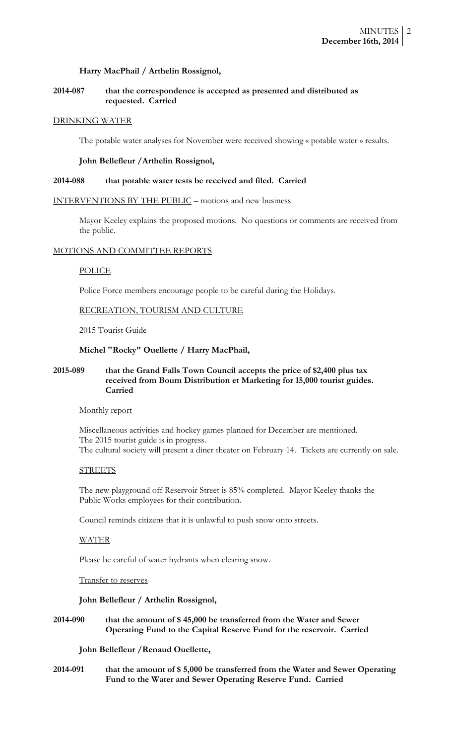# **Harry MacPhail / Arthelin Rossignol,**

# **2014-087 that the correspondence is accepted as presented and distributed as requested. Carried**

### DRINKING WATER

The potable water analyses for November were received showing « potable water » results.

#### **John Bellefleur /Arthelin Rossignol,**

#### **2014-088 that potable water tests be received and filed. Carried**

#### INTERVENTIONS BY THE PUBLIC – motions and new business

Mayor Keeley explains the proposed motions. No questions or comments are received from the public.

#### MOTIONS AND COMMITTEE REPORTS

#### POLICE

Police Force members encourage people to be careful during the Holidays.

### RECREATION, TOURISM AND CULTURE

#### 2015 Tourist Guide

# **Michel "Rocky" Ouellette / Harry MacPhail,**

## **2015-089 that the Grand Falls Town Council accepts the price of \$2,400 plus tax received from Boum Distribution et Marketing for 15,000 tourist guides. Carried**

#### Monthly report

Miscellaneous activities and hockey games planned for December are mentioned. The 2015 tourist guide is in progress. The cultural society will present a diner theater on February 14. Tickets are currently on sale.

#### **STREETS**

The new playground off Reservoir Street is 85% completed. Mayor Keeley thanks the Public Works employees for their contribution.

Council reminds citizens that it is unlawful to push snow onto streets.

## WATER

Please be careful of water hydrants when clearing snow.

# Transfer to reserves

# **John Bellefleur / Arthelin Rossignol,**

# **2014-090 that the amount of \$ 45,000 be transferred from the Water and Sewer Operating Fund to the Capital Reserve Fund for the reservoir. Carried**

# **John Bellefleur /Renaud Ouellette,**

**2014-091 that the amount of \$ 5,000 be transferred from the Water and Sewer Operating Fund to the Water and Sewer Operating Reserve Fund. Carried**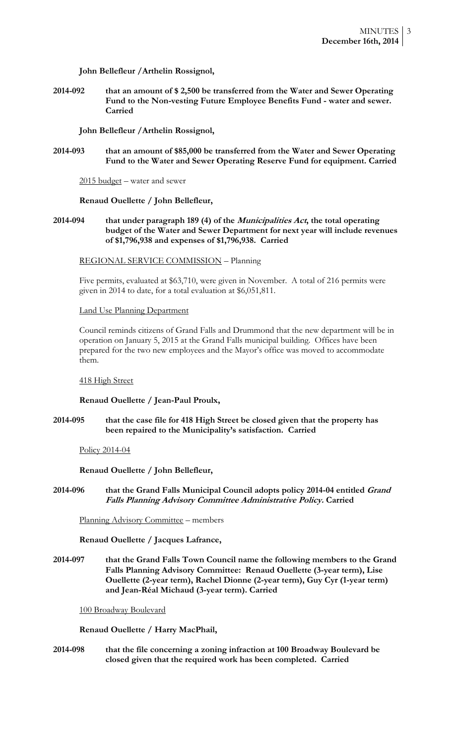# **John Bellefleur /Arthelin Rossignol,**

**2014-092 that an amount of \$ 2,500 be transferred from the Water and Sewer Operating Fund to the Non-vesting Future Employee Benefits Fund - water and sewer. Carried** 

**John Bellefleur /Arthelin Rossignol,**

**2014-093 that an amount of \$85,000 be transferred from the Water and Sewer Operating Fund to the Water and Sewer Operating Reserve Fund for equipment. Carried**

2015 budget – water and sewer

### **Renaud Ouellette / John Bellefleur,**

# **2014-094 that under paragraph 189 (4) of the Municipalities Act, the total operating budget of the Water and Sewer Department for next year will include revenues of \$1,796,938 and expenses of \$1,796,938. Carried**

REGIONAL SERVICE COMMISSION – Planning

Five permits, evaluated at \$63,710, were given in November. A total of 216 permits were given in 2014 to date, for a total evaluation at \$6,051,811.

### Land Use Planning Department

Council reminds citizens of Grand Falls and Drummond that the new department will be in operation on January 5, 2015 at the Grand Falls municipal building. Offices have been prepared for the two new employees and the Mayor's office was moved to accommodate them.

### 418 High Street

### **Renaud Ouellette / Jean-Paul Proulx,**

**2014-095 that the case file for 418 High Street be closed given that the property has been repaired to the Municipality's satisfaction. Carried**

Policy 2014-04

**Renaud Ouellette / John Bellefleur,**

**2014-096 that the Grand Falls Municipal Council adopts policy 2014-04 entitled Grand Falls Planning Advisory Committee Administrative Policy. Carried**

Planning Advisory Committee – members

**Renaud Ouellette / Jacques Lafrance,**

**2014-097 that the Grand Falls Town Council name the following members to the Grand Falls Planning Advisory Committee: Renaud Ouellette (3-year term), Lise Ouellette (2-year term), Rachel Dionne (2-year term), Guy Cyr (1-year term) and Jean-Réal Michaud (3-year term). Carried**

100 Broadway Boulevard

### **Renaud Ouellette / Harry MacPhail,**

**2014-098 that the file concerning a zoning infraction at 100 Broadway Boulevard be closed given that the required work has been completed. Carried**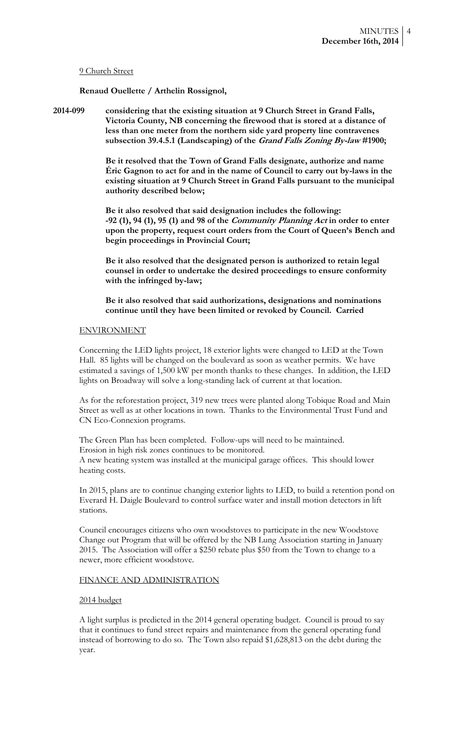## 9 Church Street

## **Renaud Ouellette / Arthelin Rossignol,**

**2014-099 considering that the existing situation at 9 Church Street in Grand Falls, Victoria County, NB concerning the firewood that is stored at a distance of less than one meter from the northern side yard property line contravenes subsection 39.4.5.1 (Landscaping) of the Grand Falls Zoning By-law #1900;**

> **Be it resolved that the Town of Grand Falls designate, authorize and name Éric Gagnon to act for and in the name of Council to carry out by-laws in the existing situation at 9 Church Street in Grand Falls pursuant to the municipal authority described below;**

> **Be it also resolved that said designation includes the following: -92 (1), 94 (1), 95 (1) and 98 of the Community Planning Act in order to enter upon the property, request court orders from the Court of Queen's Bench and begin proceedings in Provincial Court;**

**Be it also resolved that the designated person is authorized to retain legal counsel in order to undertake the desired proceedings to ensure conformity with the infringed by-law;**

**Be it also resolved that said authorizations, designations and nominations continue until they have been limited or revoked by Council. Carried**

### ENVIRONMENT

Concerning the LED lights project, 18 exterior lights were changed to LED at the Town Hall. 85 lights will be changed on the boulevard as soon as weather permits. We have estimated a savings of 1,500 kW per month thanks to these changes. In addition, the LED lights on Broadway will solve a long-standing lack of current at that location.

As for the reforestation project, 319 new trees were planted along Tobique Road and Main Street as well as at other locations in town. Thanks to the Environmental Trust Fund and CN Eco-Connexion programs.

The Green Plan has been completed. Follow-ups will need to be maintained. Erosion in high risk zones continues to be monitored. A new heating system was installed at the municipal garage offices. This should lower heating costs.

In 2015, plans are to continue changing exterior lights to LED, to build a retention pond on Everard H. Daigle Boulevard to control surface water and install motion detectors in lift stations.

Council encourages citizens who own woodstoves to participate in the new Woodstove Change out Program that will be offered by the NB Lung Association starting in January 2015. The Association will offer a \$250 rebate plus \$50 from the Town to change to a newer, more efficient woodstove.

# FINANCE AND ADMINISTRATION

### 2014 budget

A light surplus is predicted in the 2014 general operating budget. Council is proud to say that it continues to fund street repairs and maintenance from the general operating fund instead of borrowing to do so. The Town also repaid \$1,628,813 on the debt during the year.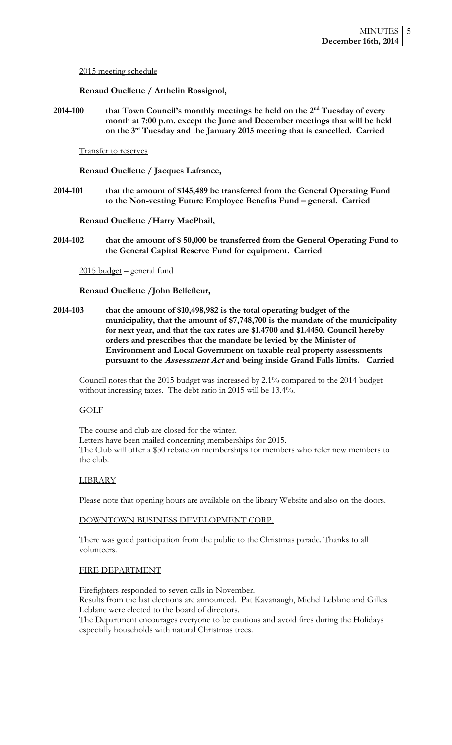2015 meeting schedule

**Renaud Ouellette / Arthelin Rossignol,**

**2014-100 that Town Council's monthly meetings be held on the 2nd Tuesday of every month at 7:00 p.m. except the June and December meetings that will be held on the 3rd Tuesday and the January 2015 meeting that is cancelled. Carried**

Transfer to reserves

**Renaud Ouellette / Jacques Lafrance,**

**2014-101 that the amount of \$145,489 be transferred from the General Operating Fund to the Non-vesting Future Employee Benefits Fund – general. Carried**

**Renaud Ouellette /Harry MacPhail,**

**2014-102 that the amount of \$ 50,000 be transferred from the General Operating Fund to the General Capital Reserve Fund for equipment. Carried**

2015 budget – general fund

# **Renaud Ouellette /John Bellefleur,**

**2014-103 that the amount of \$10,498,982 is the total operating budget of the municipality, that the amount of \$7,748,700 is the mandate of the municipality for next year, and that the tax rates are \$1.4700 and \$1.4450. Council hereby orders and prescribes that the mandate be levied by the Minister of Environment and Local Government on taxable real property assessments pursuant to the Assessment Act and being inside Grand Falls limits. Carried**

Council notes that the 2015 budget was increased by 2.1% compared to the 2014 budget without increasing taxes. The debt ratio in 2015 will be 13.4%.

# GOLF

The course and club are closed for the winter. Letters have been mailed concerning memberships for 2015. The Club will offer a \$50 rebate on memberships for members who refer new members to the club.

### LIBRARY

Please note that opening hours are available on the library Website and also on the doors.

## DOWNTOWN BUSINESS DEVELOPMENT CORP.

There was good participation from the public to the Christmas parade. Thanks to all volunteers.

# FIRE DEPARTMENT

Firefighters responded to seven calls in November. Results from the last elections are announced. Pat Kavanaugh, Michel Leblanc and Gilles Leblanc were elected to the board of directors.

The Department encourages everyone to be cautious and avoid fires during the Holidays especially households with natural Christmas trees.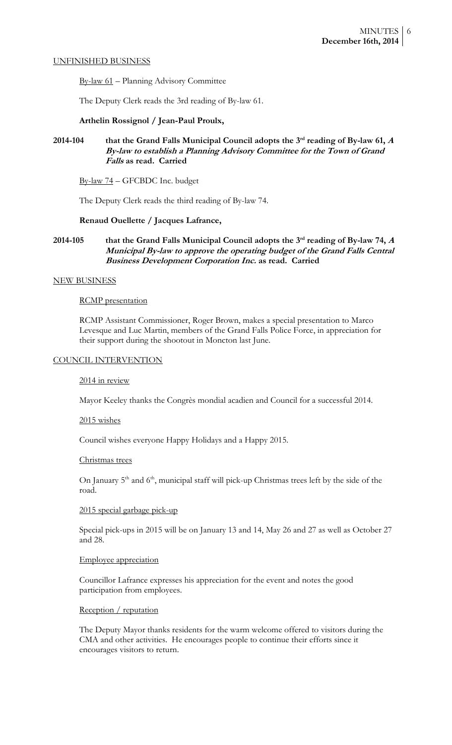#### UNFINISHED BUSINESS

By-law 61 – Planning Advisory Committee

The Deputy Clerk reads the 3rd reading of By-law 61.

# **Arthelin Rossignol / Jean-Paul Proulx,**

# **2014-104 that the Grand Falls Municipal Council adopts the 3 rd reading of By-law 61, <sup>A</sup> By-law to establish a Planning Advisory Committee for the Town of Grand Falls as read. Carried**

By-law 74 – GFCBDC Inc. budget

The Deputy Clerk reads the third reading of By-law 74.

# **Renaud Ouellette / Jacques Lafrance,**

# **2014-105 that the Grand Falls Municipal Council adopts the 3 rd reading of By-law 74, <sup>A</sup> Municipal By-law to approve the operating budget of the Grand Falls Central Business Development Corporation Inc. as read. Carried**

### NEW BUSINESS

#### RCMP presentation

RCMP Assistant Commissioner, Roger Brown, makes a special presentation to Marco Levesque and Luc Martin, members of the Grand Falls Police Force, in appreciation for their support during the shootout in Moncton last June.

# COUNCIL INTERVENTION

### 2014 in review

Mayor Keeley thanks the Congrès mondial acadien and Council for a successful 2014.

#### 2015 wishes

Council wishes everyone Happy Holidays and a Happy 2015.

#### Christmas trees

On January 5<sup>th</sup> and 6<sup>th</sup>, municipal staff will pick-up Christmas trees left by the side of the road.

## 2015 special garbage pick-up

Special pick-ups in 2015 will be on January 13 and 14, May 26 and 27 as well as October 27 and 28.

### Employee appreciation

Councillor Lafrance expresses his appreciation for the event and notes the good participation from employees.

### Reception / reputation

The Deputy Mayor thanks residents for the warm welcome offered to visitors during the CMA and other activities. He encourages people to continue their efforts since it encourages visitors to return.